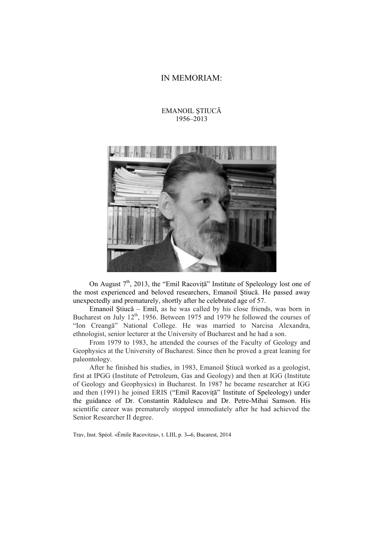## IN MEMORIAM:

## EMANOIL ŞTIUCĂ 1956–2013



On August  $7<sup>th</sup>$ , 2013, the "Emil Racoviță" Institute of Speleology lost one of the most experienced and beloved researchers, Emanoil Ştiucă. He passed away unexpectedly and prematurely, shortly after he celebrated age of 57.

Emanoil Ştiucă – Emil, as he was called by his close friends, was born in Bucharest on July  $12<sup>th</sup>$ , 1956. Between 1975 and 1979 he followed the courses of "Ion Creangă" National College. He was married to Narcisa Alexandra, ethnologist, senior lecturer at the University of Bucharest and he had a son.

From 1979 to 1983, he attended the courses of the Faculty of Geology and Geophysics at the University of Bucharest. Since then he proved a great leaning for paleontology.

After he finished his studies, in 1983, Emanoil Știucă worked as a geologist, first at IPGG (Institute of Petroleum, Gas and Geology) and then at IGG (Institute of Geology and Geophysics) in Bucharest. In 1987 he became researcher at IGG and then (1991) he joined ERIS ("Emil Racoviță" Institute of Speleology) under the guidance of Dr. Constantin Rădulescu and Dr. Petre-Mihai Samson. His scientific career was prematurely stopped immediately after he had achieved the Senior Researcher II degree.

Trav, Inst. Spéol. «Émile Racovitza», t. LIII, p. 3-6, Bucarest, 2014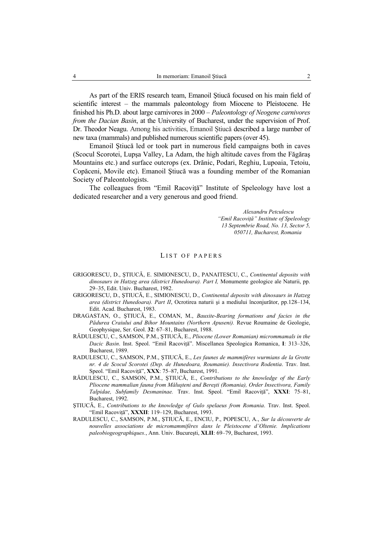As part of the ERIS research team, Emanoil Ştiucă focused on his main field of scientific interest – the mammals paleontology from Miocene to Pleistocene. He finished his Ph.D. about large carnivores in 2000 – *Paleontology of Neogene carnivores from the Dacian Basin*, at the University of Bucharest, under the supervision of Prof. Dr. Theodor Neagu. Among his activities, Emanoil Știucă described a large number of new taxa (mammals) and published numerous scientific papers (over 45).

Emanoil Ştiucă led or took part in numerous field campaigns both in caves (Scocul Scorotei, Lupşa Valley, La Adam, the high altitude caves from the Făgăraş Mountains etc.) and surface outcrops (ex. Drănic, Podari, Reghiu, Lupoaia, Tetoiu, Copăceni, Movile etc). Emanoil Ştiucă was a founding member of the Romanian Society of Paleontologists.

The colleagues from "Emil Racovită" Institute of Speleology have lost a dedicated researcher and a very generous and good friend.

> *Alexandru Petculescu "Emil Racoviţă" Institute of Speleology 13 Septembrie Road, No. 13, Sector 5, 050711, Bucharest, Romania*

## LIST OF PAPERS

- GRIGORESCU, D., ŞTIUCĂ, E. SIMIONESCU, D., PANAITESCU, C., *Continental deposits with dinosaurs in Hatzeg area (district Hunedoara). Part I,* Monumente geologice ale Naturii, pp. 29–35, Edit. Univ. Bucharest, 1982.
- GRIGORESCU, D., ŞTIUCĂ, E., SIMIONESCU, D., *Continental deposits with dinosaurs in Hatzeg area (district Hunedoara). Part II*, Ocrotirea naturii şi a mediului înconjurător, pp.128–134, Edit. Acad. Bucharest, 1983.
- DRAGASTAN, O., ŞTIUCĂ, E., COMAN, M., *Bauxite-Bearing formations and facies in the Pădurea Craiului and Bihor Mountains (Northern Apuseni).* Revue Roumaine de Geologie, Geophysique, Ser. Geol. **32**: 67–81, Bucharest, 1988.
- RĂDULESCU, C., SAMSON, P.M., ŞTIUCĂ, E., *Pliocene (Lower Romanian) micrommamals in the Dacic Basin*. Inst. Speol. "Emil Racoviţă". Miscellanea Speologica Romanica, **I**: 313–326, Bucharest, 1989.
- RADULESCU, C., SAMSON, P.M., ŞTIUCĂ, E., *Les faunes de mammifères wurmians de la Grotte nr. 4 de Scocul Scorotei (Dep. de Hunedoara, Roumanie). Insectivora Rodentia*. Trav. Inst. Speol. "Emil Racoviţă", **XXX**: 75–87, Bucharest, 1991.
- RĂDULESCU, C., SAMSON, P.M., ŞTIUCĂ, E., *Contributions to the knowledge of the Early Pliocene mammalian fauna from Măluşteni and Bereşti (Romania), Order Insectivora, Family Talpidae, Subfamily Desmaninae.* Trav. Inst. Speol. "Emil Racoviţă", **XXXI**: 75–81, Bucharest, 1992.
- ŞTIUCĂ, E., *Contributions to the knowledge of Gulo spelaeus from Romania*. Trav. Inst. Speol. "Emil Racoviţă", **XXXII**: 119–129, Bucharest, 1993.
- RADULESCU, C., SAMSON, P.M., ŞTIUCĂ, E., ENCIU, P., POPESCU, A., *Sur la découverte de nouvelles associations de micromammifères dans le Pleistocene d'Oltenie. Implications paleobiogeographiques.*, Ann. Univ. Bucureşti, **XLII**: 69–79, Bucharest, 1993.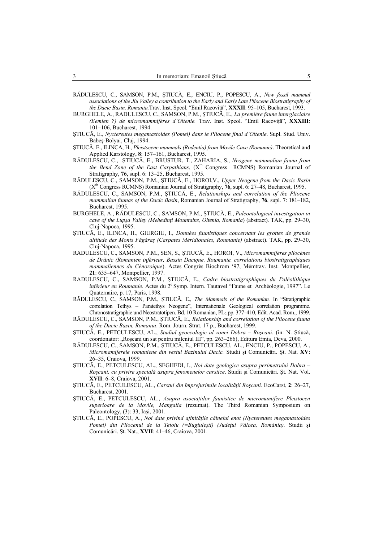- RĂDULESCU, C., SAMSON, P.M., ŞTIUCĂ, E., ENCIU, P., POPESCU, A., *New fossil mammal associations of the Jiu Valley a contribution to the Early and Early Late Pliocene Biostratigraphy of the Dacic Basin, Romania.*Trav. Inst. Speol. "Emil Racoviţă", **XXXII**: 95–105, Bucharest, 1993.
- BURGHELE, A., RADULESCU, C., SAMSON, P.M., ŞTIUCĂ, E., *La première faune interglaciaire (Eemien ?) de micromammifères d'Oltenie.* Trav. Inst. Speol. "Emil Racoviţă", **XXXIII**: 101–106, Bucharest, 1994.
- ŞTIUCĂ, E., *Nyctereutes megamastoides (Pomel) dans le Pliocene final d'Oltenie*. Supl. Stud. Univ. Babeş-Bolyai, Cluj, 1994.
- ŞTIUCĂ, E., ILINCA, H., *Pleistocene mammals (Rodentia) from Movile Cave (Romanie)*. Theoretical and Applied Karstology, **8**: 157–161, Bucharest, 1995.
- RĂDULESCU, C., ŞTIUCĂ, E., BRUSTUR, T., ZAHARIA, S., *Neogene mammalian fauna from the Bend Zone of the East Carpathians*, (X<sup>th</sup> Congress RCMNS) Romanian Journal of Stratigraphy, **76**, supl. 6: 13–25, Bucharest, 1995.
- RĂDULESCU, C., SAMSON, P.M., ŞTIUCĂ, E., HOROI,V., *Upper Neogene from the Dacic Basin* (Xth Congress RCMNS) Romanian Journal of Stratigraphy, **76**, supl. 6: 27–48, Bucharest, 1995.
- RĂDULESCU, C., SAMSON, P.M., ŞTIUCĂ, E., *Relationships and correlation of the Pliocene mammalian faunas of the Dacic Basin*, Romanian Journal of Stratigraphy, **76**, supl. 7: 181–182, Bucharest, 1995.
- BURGHELE, A., RĂDULESCU, C., SAMSON, P.M., ŞTIUCĂ, E., *Paleontological investigation in cave of the Lupşa Valley (Mehedinţi Mountains, Oltenia, Romania*) (abstract). TAK, pp. 29–30, Cluj-Napoca, 1995.
- ŞTIUCĂ, E., ILINCA, H., GIURGIU, I., *Données faunistiques concernant les grottes de grande altitude des Monts Făgăraş (Carpates Méridionales, Roumanie)* (abstract). TAK, pp. 29–30, Cluj-Napoca, 1995.
- RADULESCU, C., SAMSON, P.M., SEN, S., ŞTIUCĂ, E., HOROI, V., *Micromammifères pliocènes de Drănic (Romanien inférieur, Bassin Dacique, Roumanie, correlations biostratigraphiques mammaliennes du Cénozoique*). Actes Congrès Biochrom '97, Mémtrav. Inst. Montpellier, **21**: 635–647, Montpellier, 1997.
- RADULESCU, C., SAMSON, P.M., ŞTIUCĂ, E., *Cadre biostratigraphiques du Paléolithique*  inférieur en Roumanie. Actes du 2<sup>e</sup> Symp. Intern. Tautavel "Faune et Archéologie, 1997". Le Quaternaire, p. 17, Paris, 1998.
- RĂDULESCU, C., SAMSON, P.M., ŞTIUCĂ, E., *The Mammals of the Romanian.* In "Stratigraphic correlation Tethys – Paratethys Neogene", Internationale Geological correlation programme. Chronostratigraphie und Neostratotipen. Bd. 10 Romanian, PL<sub>2</sub> pp. 377-410, Edit. Acad. Rom., 1999.
- RĂDULESCU, C., SAMSON, P.M., ŞTIUCĂ, E., *Relationship and correlation of the Pliocene fauna of the Dacic Basin, Romania*. Rom. Journ. Strat. 17 p., Bucharest, 1999.
- ŞTIUCĂ, E., PETCULESCU, AL., *Studiul geoecologic al zonei Dobra Roşcani.* (in: N. Ştiucă, coordonator: "Roșcani un sat pentru mileniul III", pp. 263-266), Editura Emia, Deva, 2000.
- RĂDULESCU, C., SAMSON, P.M., ŞTIUCĂ, E., PETCULESCU, AL., ENCIU, P., POPESCU, A., *Micromamiferele romaniene din vestul Bazinului Dacic.* Studii şi Comunicări. Şt. Nat. **XV**: 26–35, Craiova, 1999.
- ŞTIUCĂ, E., PETCULESCU, AL., SEGHEDI, I., *Noi date geologice asupra perimetrului Dobra Roşcani, cu privire specială asupra fenomenelor carstice*. Studii şi Comunicări. Şt. Nat. Vol. **XVII**: 6–8, Craiova, 2001.
- ŞTIUCĂ, E., PETCULESCU, AL., *Carstul din împrejurimile localităţii Roşcani*. EcoCarst, **2**: 26–27, Bucharest, 2001.
- ŞTIUCĂ, E., PETCULESCU, AL., *Asupra asociaţiilor faunistice de micromamifere Pleistocen superioare de la Movile, Mangalia* (rezumat). The Third Romanian Symposium on Paleontology, (3): 33, Iaşi, 2001.
- ŞTIUCĂ, E., POPESCU, A., *Noi date privind afinităţile câinelui enot (Nyctereutes megamastoides Pomel) din Pliocenul de la Tetoiu (=Bugiuleşti) (Judeţul Vâlcea, România).* Studii şi Comunicări. Şt. Nat., **XVII**: 41–46, Craiova, 2001.